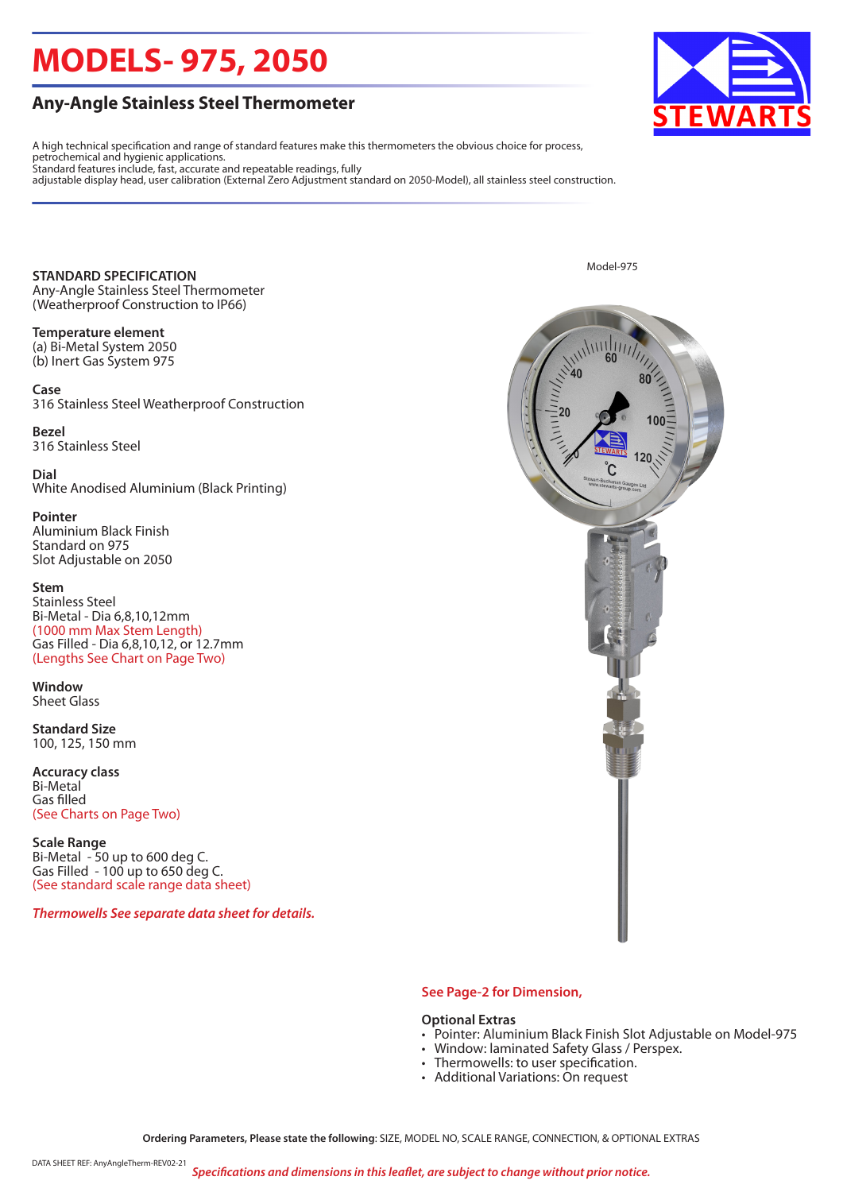# **MODELS- 975, 2050**

### **Any-Angle Stainless Steel Thermometer**

A high technical specification and range of standard features make this thermometers the obvious choice for process, petrochemical and hygienic applications. Standard features include, fast, accurate and repeatable readings, fully

adjustable display head, user calibration (External Zero Adjustment standard on 2050-Model), all stainless steel construction.

**STANDARD SPECIFICATION** Any-Angle Stainless Steel Thermometer (Weatherproof Construction to IP66)

**Temperature element**  (a) Bi-Metal System 2050 (b) Inert Gas System 975

**Case** 316 Stainless Steel Weatherproof Construction

**Bezel** 316 Stainless Steel

**Dial** White Anodised Aluminium (Black Printing)

**Pointer** Aluminium Black Finish Standard on 975 Slot Adjustable on 2050

**Stem** Stainless Steel Bi-Metal - Dia 6,8,10,12mm (1000 mm Max Stem Length) Gas Filled - Dia 6,8,10,12, or 12.7mm (Lengths See Chart on Page Two)

**Window** Sheet Glass

**Standard Size**  100, 125, 150 mm

**Accuracy class** Bi-Metal Gas filled (See Charts on Page Two)

**Scale Range** Bi-Metal - 50 up to 600 deg C. Gas Filled - 100 up to 650 deg C. (See standard scale range data sheet)

*Thermowells See separate data sheet for details.*



Model-975

### **See Page-2 for Dimension,**

#### **Optional Extras**

- Pointer: Aluminium Black Finish Slot Adjustable on Model-975
- Window: laminated Safety Glass / Perspex.
- Thermowells: to user specification.
- Additional Variations: On request